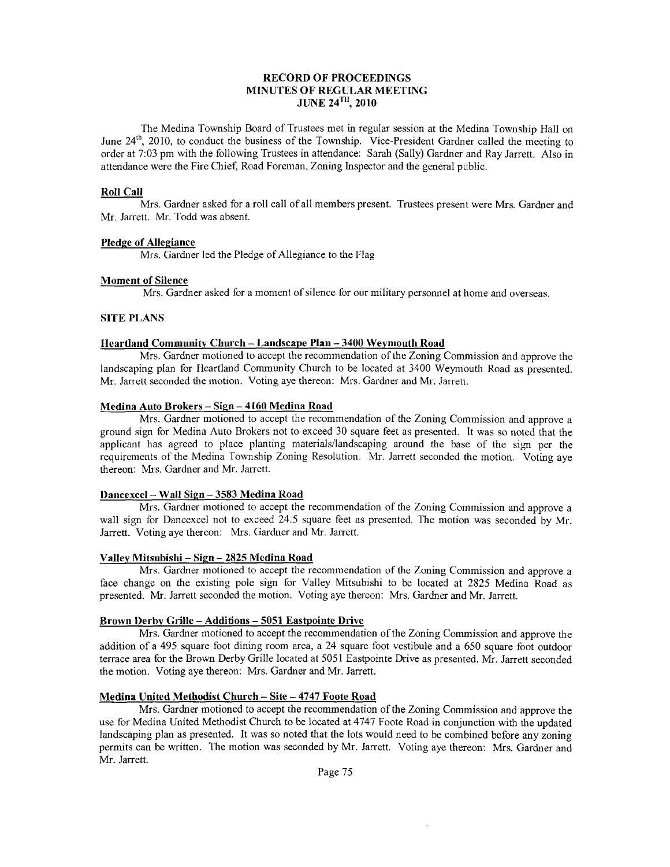#### RECORD OF PROCEEDINGS MINUTES OF REGULAR MEETING JUNE  $24^{TH}$ , 2010

The Medina Township Board of Trustees nret in regular session at the Medina Township Hall on June 24<sup>th</sup>, 2010, to conduct the business of the Township. Vice-President Gardner called the meeting to order at 7:03 pm with the following Trustees in attendance: Sarah (Sally) Gardner and Ray Jarrett. Also in attendance were the Fire Chief, Road Foreman, Zoning Inspector and the general public.

#### Roll CaIl

Mrs. Gardner asked for a roll call of all members present. Trustees present were Mrs. Gardner and Mr. Jarrett. Mr. Todd was absent.

#### Pledge of Allegiance

Mrs. Gardner led the Pledge of Allegiance to the Flag

#### Moment of Silence

Mrs. Gardner asked for a moment of silence for our military personnel at home and overseas.

#### SITE PLANS

#### Heartland Community Church - Landscape Plan - 3400 Weymouth Road

Mrs. Gardner motioned to accept the recommendation of the Zoning Commission and approve the landscaping plan for Heartland Community Church to be located at 3400 Weymouth Road as presented. Mr. Jarrett seconded the rnotion. Voting aye thereon: Mrs. Gardner and Mr. Jarrett.

#### Medina Auto Brokers - Sign - 4160 Medina Road

Mrs. Gardner motioned to accept the recommendation of the Zoning Commission and approve a ground sign for Medina Auto Brokers not to exceed 30 square feet as presented. It was so noted that the applicant has agreed to place planting materials/landscaping around the base of the sign per the requirements of the Medina Township Zoning Resolution. Mr. Jarrett seconded the motion. Voting ave thereon: Mrs. Gardner and Mr. Jarrett.

#### Dancexcel - Wall Siqn - 3583 Medina Road

Mrs. Gardner rnotioned to accept the recommendation of the Zoning Commission and approve a wall sign for Dancexcel not to exceed 24.5 square feet as presented. The motion was seconded by Mr. Jarrett. Voting aye thereon: Mrs. Gardner and Mr. Jarrett.

#### Valley Mitsubishi - Sign - 2825 Medina Road

Mrs. Gardner motioned to accept the recommendation of the Zoning Commission and approve a face change on the existing pole sign for Valley Mitsubishi to be located at 2825 Medina Road as presented. Mr. Jarrett seconded the motion. Voting aye thereon: Mrs. Gardner and Mr. Jarrett.

#### Brown Derbv Grille - Additions - 5051 Eastpointe Drive

Mrs. Gardner motioned to accept the recommendation of the Zoning Commission and approve the addition of a 495 square foot dining room area, a 24 square foot vestibule and a 650 square foot outdoor terrace area for the Brown Derby Grille located at 5051 Eastpointe Drive as presented. Mr. Jarrett seconded the motion. Voting aye thereon: Mrs. Gardner and Mr. Jarrett.

#### Medina United Methodist Church - Site - 4747 Foote Road

Mrs. Gardner motioned to accept the recommendation of the Zoning Commission and approve the use for Medina United Methodist Church to be located at 4747 Foote Road in conjunction with the updated landscaping plan as presented. It was so noted that the lots would need to be combined before any zoning permits can be written. The motion was seconded by Mr. Jarrett. Voting aye thereon: Mrs. Gardner and Mr. Jarrett.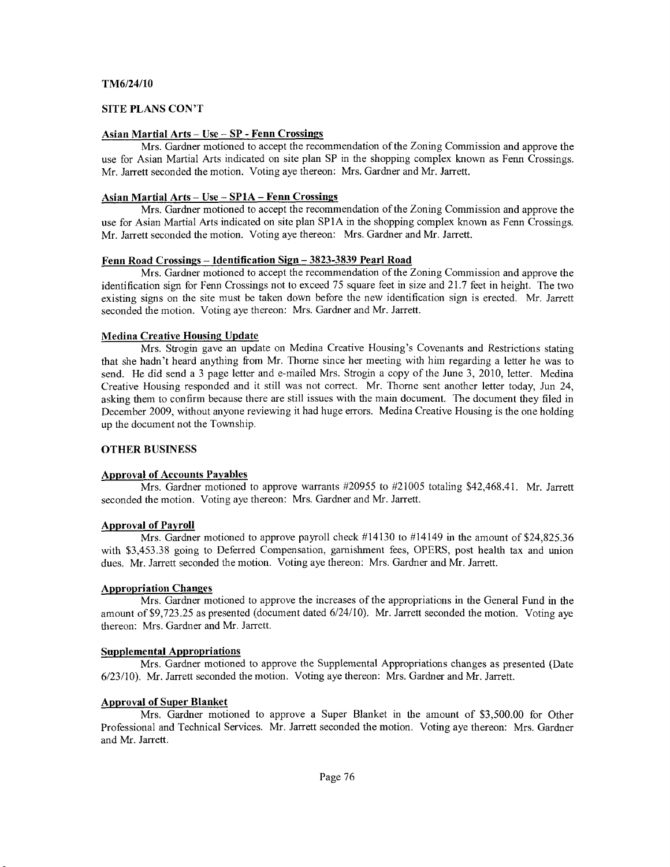#### TM6/24/10

#### SITE PLANS CON'T

#### Asian Martial Arts - Use - SP - Fenn Crossings

Mrs. Gardner motioned to accept the recommendation of the Zoning Commission and approve the use for Asian Martial Arts indicated on site plan SP in the shopping complex known as Fenn Crossings. Mr. Jarrett seconded the motion. Voting aye thereon: Mrs. Gardner and Mr. Jarrett.

#### Asian Martial Arts - Use - SPIA - Fenn Crossings

Mrs. Gardner motioned to accept the recommendation of the Zoning Commission and approve the use for Asian Martial Arts indicated on site plan SPIA in the shopping complex known as Fenn Crossings. Mr. Jarrett seconded the motion. Voting aye thereon: Mrs. Gardner and Mr. Jarrett.

#### Fenn Road Crossings - Identification Sign - 3823-3839 Pearl Road

Mrs. Gardner motioned to accept the recommendation of the Zoning Commission and approve the identification sign for Fenn Crossings not to exceed 75 square feet in size and 21.7 feet in height. The two existing signs on the site must be taken down before the new identification sign is erected. Mr. Jarrett seconded the motion. Voting aye thereon: Mrs. Gardner and Mr. Jarrett.

#### Medina Creative Housing Update

Mrs. Strogin gave an update on Medina Creative Housing's Covenants and Restrictions stating that she hadn't heard anything from Mr. Thorne since her meeting with him regarding a letter he was to send. He did send a 3 page letter and e-mailed Mrs. Strogin a copy of the June 3, 2010, letter. Medina Creative Housing responded and it still was not correct. Mr. Thorne sent another letter today, Jun 24, asking them to confirm because there are still issues with the main document. The document they filed in December 2009, without anyone reviewing it had huge errors. Medina Creative Housing is the one holding up the document not the Township.

#### OTHER BUSINESS

#### Approval of Accounts Pavables

Mrs. Gardner motioned to approve warrants #20955 to #21005 totaling \$42,468.41. Mr. Jarrett seconded the motion. Voting aye thereon: Mrs. Gardner and Mr. Jarrett.

#### Approval of Pavroll

Mrs. Gardner motioned to approve payroll check #14130 to #14149 in the amount of \$24,825.36 with \$3,453.38 going to Deferred Compensation, garnishment fees, OPERS, post health tax and union dues. Mr. Jarrett seconded the motion. Voting aye thereon: Mrs. Gardner and Mr. Jarrett.

#### Appropriation Changes

Mrs. Gardner motioned to approve the increases of the appropriations in the General Fund in the amount of \$9,723.25 as presented (document dated 6/24/10). Mr. Jarrett seconded the motion. Voting aye thereon: Mrs. Gardner and Mr. Jarrett.

#### **Supplemental Appropriations**

Mrs. Gardner motioned to approve the Supplemental Appropriations changes as presented (Date 6123/10). Mr. Jarrett seconded the motion. Voting aye thereon: Mrs. Gardner and Mr. Jarrett.

#### Approval of Super Blanket

Mrs. Gardner motioned to approve a Super Blanket in the amount of \$3,500.00 for Other Professional and Technical Services. Mr. Jarrett seconded the motion. Voting aye thereon: Mrs. Gardner and Mr, Jarrett.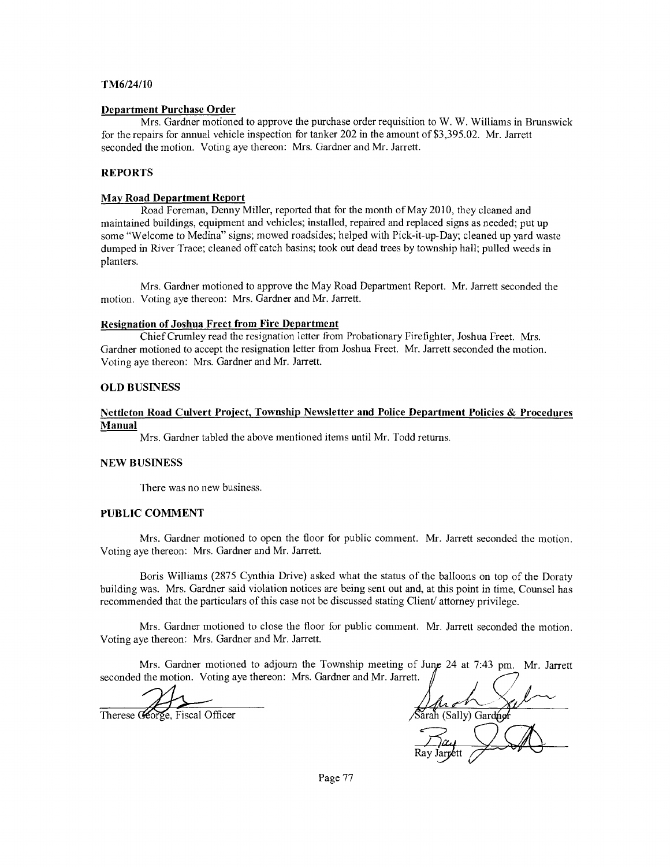#### TM6/24/10

#### Department Purchase Order

Mrs. Gardner motioned to approve the purchase order requisition to W. W. Williams in Brunswick for the repairs for annual vehicle inspection for tanker 202 in the amount of \$3,395.02. Mr. Jarrett seconded the motion. Voting aye thereon: Mrs. Gardner and Mr. Jarrett.

#### REPORTS

#### May Road Department Report

Road Foreman, Denny Miller, reported that for the month of May 2010, they cleaned and maintained buildings, equipment and vehicles; installed, repaired and replaced signs as needed; put up some "Welcome to Medina" signs; mowed roadsides; helped with Pick-it-up-Day; cleaned up yard waste dumped in River Trace; cleaned off catch basins; took out dead trees by township hall; pulled weeds in planters.

Mrs. Gardner motioned to approve the May Road Deparnnent Report. Mr. Jarrett seconded the motion. Voting aye thereon: Mrs. Gardner and Mr. Jarrett.

#### Resignation of Joshua Freet from Fire Department

Chief Crumley read the resignation letter from Probationary Firefighter, Joshua Freet. Mrs. Gardner motioned to accept the resignation letter from Joshua Freet. Mr. Jarrett seconded the motion. Voting aye thereon: Mrs. Gardner and Mr. Jarrett.

#### OLD BUSINESS

#### Nettleton Road Culvert Proiect. Township Newsletter and Police Department Policies & Procedures Manual

Mrs. Gardner tabled the above mentioned items until Mr. Todd returns.

#### NEW BUSINESS

There was no new business.

#### PUBLIC COMMENT

Mrs. Gardner motioned to open the floor for public comment. Mr. Jarrett seconded the motion. Voting aye thereon: Mrs. Gardner and Mr. Jarrett.

Boris Williams (2875 Cynthia Drive) asked what the status of the balloons on top of the Doraty building was. Mrs. Gardner said violation notices are being sent out and, at ftis point in time, Counsel has recommended that the particulars of this case not be discussed stating Client/ attorney privilege.

Mrs. Gardner motioned to close the floor for public comment. Mr. Jarrett seconded the motion. Voting aye thereon: Mrs. Gardner and Mr. Jarrett.

Mrs. Gardner motioned to adjourn the Township meeting of June 24 at 7:43 pm. Mr. Jarrett seconded the motion. Voting aye thereon: Mrs. Gardner and Mr. Jarrett.

orge, Fiscal Officer

arah (Sally) Gardner

Page 77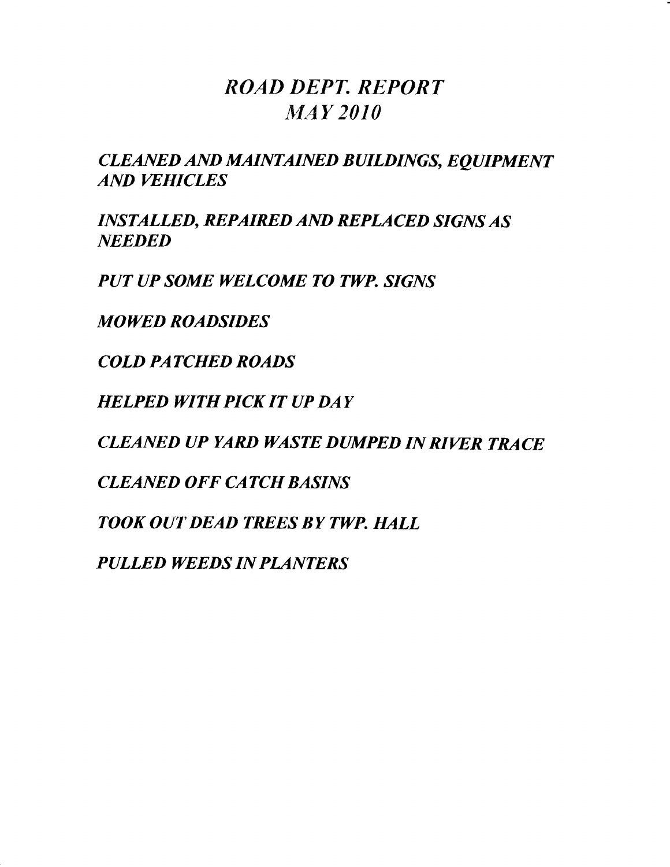### ROAD DEPT. REPORT MAY 2O1O

CLEANED AND MAINTAINED BUILDINGS, EQUIPMENT AND WHICLES

INSTALLED, REPAIRED AND REPLACED SIGNS AS **NEEDED** 

PUT UP SOME WELCOME TO TWP. SIGNS

MOWED ROADSIDES

COLD PATCHED ROADS

HELPED WITH PICK IT UP DAY

CLEANED UP YARD WASTE DUMPED IN RIWR TRACE

CLEANED OFF CATCH BASINS

TOOK OUT DEAD TREES BY TWP. HALL

PULLED WEEDS IN PLANTERS